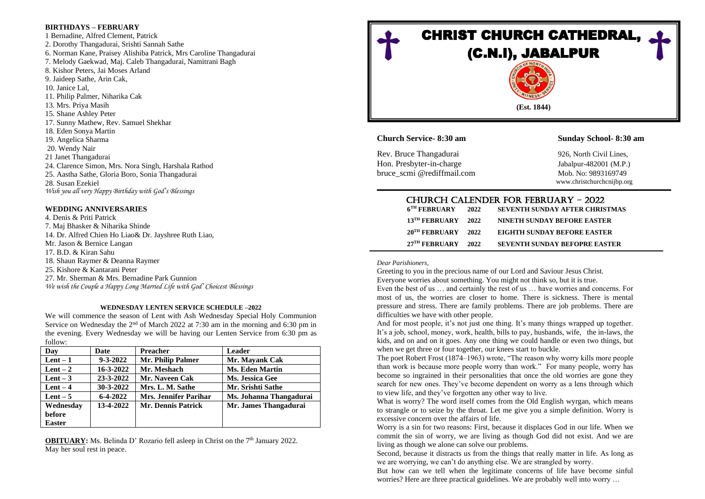## **BIRTHDAYS – FEBRUARY**

1 Bernadine, Alfred Clement, Patrick 2. Dorothy Thangadurai, Srishti Sannah Sathe 6. Norman Kane, Praisey Alishiba Patrick, Mrs Caroline Thangadurai 7. Melody Gaekwad, Maj. Caleb Thangadurai, Namitrani Bagh 8. Kishor Peters, Jai Moses Arland 9. Jaideep Sathe, Arin Cak, 10. Janice Lal, 11. Philip Palmer, Niharika Cak 13. Mrs. Priya Masih 15. Shane Ashley Peter 17. Sunny Mathew, Rev. Samuel Shekhar 18. Eden Sonya Martin 19. Angelica Sharma 20. Wendy Nair 21 Janet Thangadurai 24. Clarence Simon, Mrs. Nora Singh, Harshala Rathod 25. Aastha Sathe, Gloria Boro, Sonia Thangadurai 28. Susan Ezekiel *Wish you all very Happy Birthday with God's Blessings* 

## **WEDDING ANNIVERSARIES**

4. Denis & Priti Patrick 7. Maj Bhasker & Niharika Shinde 14. Dr. Alfred Chien Ho Liao& Dr. Jayshree Ruth Liao, Mr. Jason & Bernice Langan 17. B.D. & Kiran Sahu 18. Shaun Raymer & Deanna Raymer 25. Kishore & Kantarani Peter 27. Mr. Sherman & Mrs. Bernadine Park Gunnion *We wish the Couple a Happy Long Married Life with God' Choicest Blessings*

## **WEDNESDAY LENTEN SERVICE SCHEDULE –2022**

We will commence the season of Lent with Ash Wednesday Special Holy Communion Service on Wednesday the 2<sup>nd</sup> of March 2022 at 7:30 am in the morning and 6:30 pm in the evening. Every Wednesday we will be having our Lenten Service from 6:30 pm as follow:

| Day           | <b>Date</b>    | <b>Preacher</b>              | <b>Leader</b>           |
|---------------|----------------|------------------------------|-------------------------|
| $Lent-1$      | $9 - 3 - 2022$ | Mr. Philip Palmer            | Mr. Mayank Cak          |
| Lent $-2$     | 16-3-2022      | Mr. Meshach                  | <b>Ms. Eden Martin</b>  |
| Lent $-3$     | 23-3-2022      | Mr. Naveen Cak               | Ms. Jessica Gee         |
| Lent $-4$     | 30-3-2022      | Mrs. L. M. Sathe             | Mr. Srishti Sathe       |
| Lent $-5$     | $6 - 4 - 2022$ | <b>Mrs. Jennifer Parihar</b> | Ms. Johanna Thangadurai |
| Wednesday     | 13-4-2022      | Mr. Dennis Patrick           | Mr. James Thangadurai   |
| <b>before</b> |                |                              |                         |
| <b>Easter</b> |                |                              |                         |

**OBITUARY:** Ms. Belinda D' Rozario fell asleep in Christ on the 7<sup>th</sup> January 2022. May her soul rest in peace.



**Church Service- 8:30 am Sunday School- 8:30 am**

Rev. Bruce Thangadurai 926, North Civil Lines, Hon. Presbyter-in-charge Jabalpur-482001 (M.P.) bruce\_scmi @rediffmail.com Mob. No: 9893169749

www.christchurchcnijbp.org

|                          |      | <b>CHURCH CALENDER FOR FEBRUARY - 2022</b> |
|--------------------------|------|--------------------------------------------|
| $6^{\text{TH}}$ FEBRUARY | 2022 | <b>SEVENTH SUNDAY AFTER CHRISTMAS</b>      |

| 13 <sup>TH</sup> FEBRUARY   | 2022 | <b>NINETH SUNDAY BEFORE EASTER</b>   |
|-----------------------------|------|--------------------------------------|
| 20 <sup>TH</sup> FEBRUARY   | 2022 | EIGHTH SUNDAY BEFORE EASTER          |
| $27$ <sup>IH</sup> FEBRUARY | 2022 | <b>SEVENTH SUNDAY BEFOPRE EASTER</b> |

*Dear Parishioners,*

Greeting to you in the precious name of our Lord and Saviour Jesus Christ. Everyone worries about something. You might not think so, but it is true.

Even the best of us … and certainly the rest of us … have worries and concerns. For most of us, the worries are closer to home. There is sickness. There is mental pressure and stress. There are family problems. There are job problems. There are difficulties we have with other people.

And for most people, it's not just one thing. It's many things wrapped up together. It's a job, school, money, work, health, bills to pay, husbands, wife, the in-laws, the kids, and on and on it goes. Any one thing we could handle or even two things, but when we get three or four together, our knees start to buckle.

The poet Robert Frost (1874–1963) wrote, "The reason why worry kills more people than work is because more people worry than work." For many people, worry has become so ingrained in their personalities that once the old worries are gone they search for new ones. They've become dependent on worry as a lens through which to view life, and they've forgotten any other way to live.

What is worry? The word itself comes from the Old English wyrgan, which means to strangle or to seize by the throat. Let me give you a simple definition. Worry is excessive concern over the affairs of life.

Worry is a sin for two reasons: First, because it displaces God in our life. When we commit the sin of worry, we are living as though God did not exist. And we are living as though we alone can solve our problems.

Second, because it distracts us from the things that really matter in life. As long as we are worrying, we can't do anything else. We are strangled by worry.

But how can we tell when the legitimate concerns of life have become sinful worries? Here are three practical guidelines. We are probably well into worry …